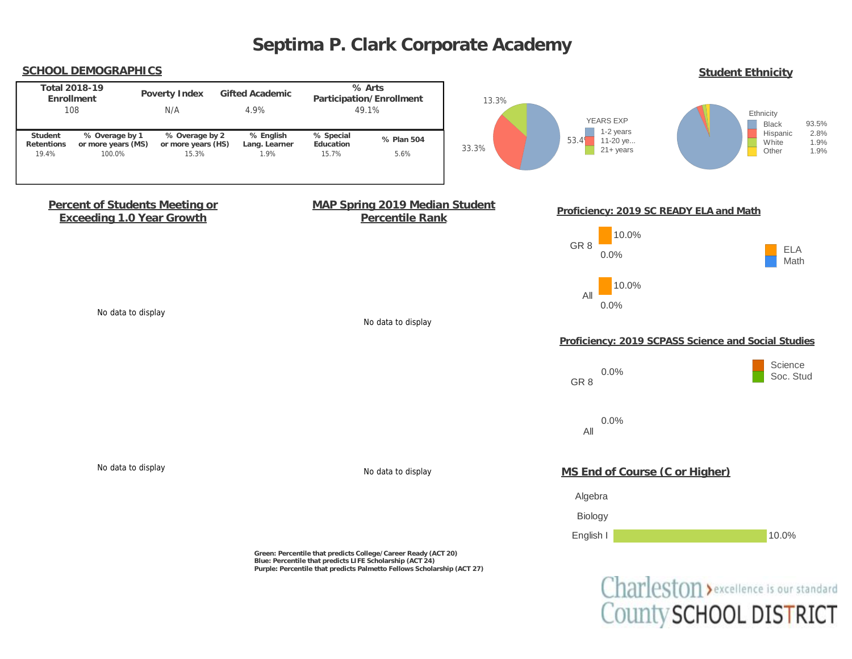

Charleston > excellence is our standard County SCHOOL DISTRICT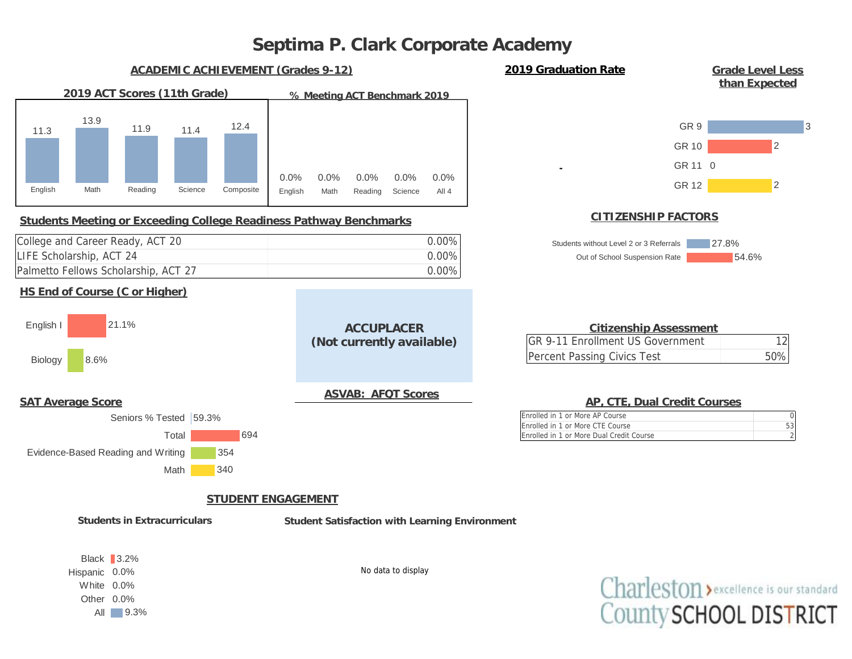

Charleston > excellence is our standard County SCHOOL DISTRICT

No data to display

Black 3.2% Hispanic 0.0% White 0.0% Other 0.0% All 9.3%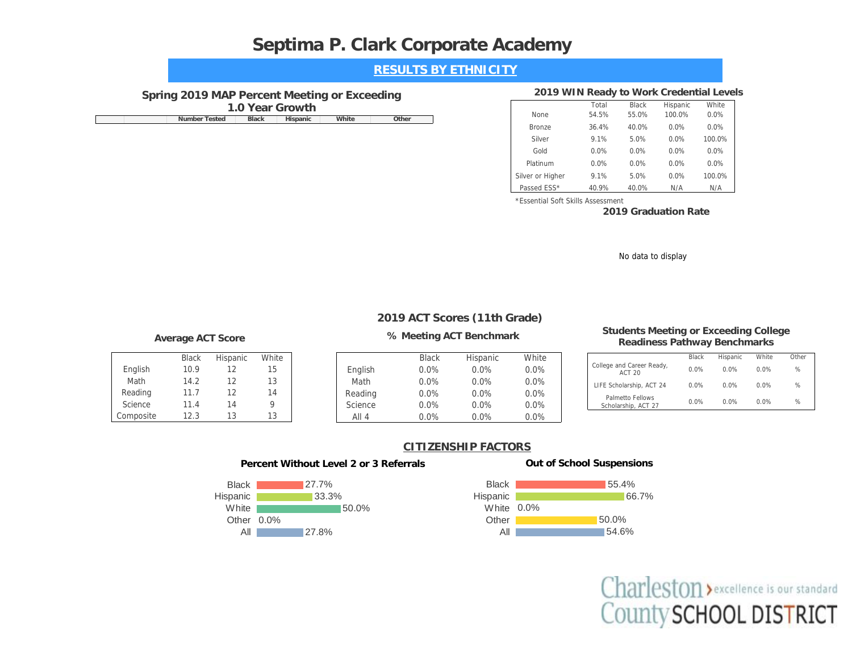| <b>RESULTS BY ETHNICITY</b> |  |
|-----------------------------|--|
|-----------------------------|--|

## **Spring 2019 MAP Percent Meeting or Exceeding**

**1.0 Year Growth**

|  | Nн<br>ested | slack | ww |  |
|--|-------------|-------|----|--|
|  |             |       |    |  |

### **2019 WIN Ready to Work Credential Levels**

| 1.0 Year Growth        |                   |       |                  | Total   | <b>Black</b> | Hispanic | White  |
|------------------------|-------------------|-------|------------------|---------|--------------|----------|--------|
| Number Tested<br>Black | White<br>Hispanic | Other | None             | 54.5%   | 55.0%        | 100.0%   | 0.0%   |
|                        |                   |       | <b>Bronze</b>    | 36.4%   | 40.0%        | $0.0\%$  | 0.0%   |
|                        |                   |       | Silver           | 9.1%    | 5.0%         | 0.0%     | 100.0% |
|                        |                   |       | Gold             | $0.0\%$ | $0.0\%$      | 0.0%     | 0.0%   |
|                        |                   |       | Platinum         | 0.0%    | 0.0%         | 0.0%     | 0.0%   |
|                        |                   |       | Silver or Higher | 9.1%    | 5.0%         | 0.0%     | 100.0% |
|                        |                   |       | Passed ESS*      | 40.9%   | 40.0%        | N/A      | N/A    |

\*Essential Soft Skills Assessment

**2019 Graduation Rate**

No data to display

## **2019 ACT Scores (11th Grade)**

|           | <b>Black</b> | Hispanic | White |
|-----------|--------------|----------|-------|
| English   | 10.9         | 12       | 15    |
| Math      | 14.2         | 12       | 13    |
| Reading   | 11.7         | 12       | 14    |
| Science   | 11.4         | 14       |       |
| Composite | 12.3         | 13       | 13    |



#### **Average ACT Score % Meeting ACT Benchmark Students Meeting or Exceeding College Readiness Pathway Benchmarks**

|                                            | Black | Hispanic | <b>White</b> | Other         |
|--------------------------------------------|-------|----------|--------------|---------------|
| College and Career Ready,<br><b>ACT 20</b> | 0.0%  | $0.0\%$  | $0.0\%$      | $\frac{1}{2}$ |
| LIFE Scholarship, ACT 24                   | 0.0%  | $0.0\%$  | $0.0\%$      | $\frac{1}{2}$ |
| Palmetto Fellows<br>Scholarship, ACT 27    | 0.0%  | $0.0\%$  | 0.0%         | $\frac{1}{2}$ |

## **CITIZENSHIP FACTORS**





#### **Out of School Suspensions**



Charleston > excellence is our standard County SCHOOL DISTRICT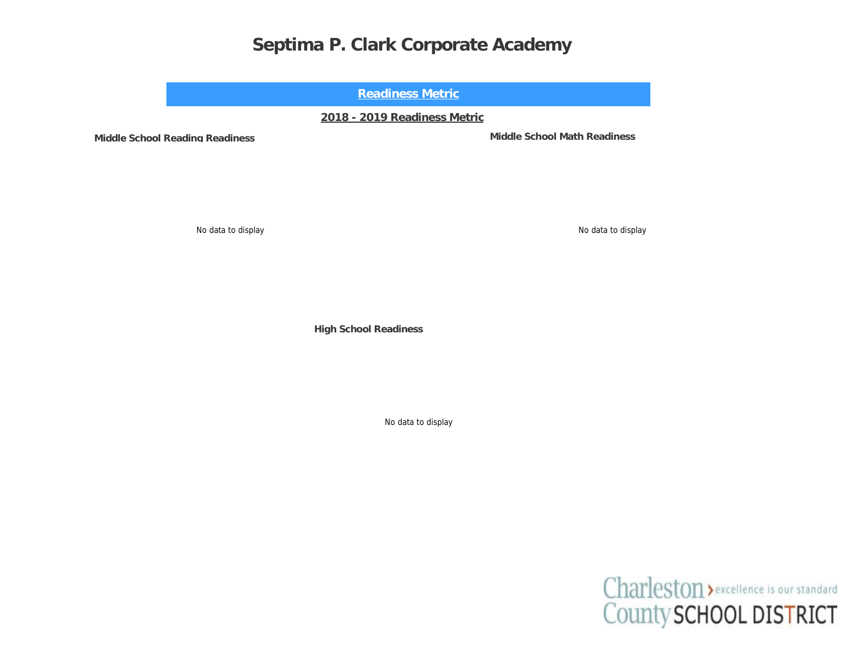**Readiness Metric**

**2018 - 2019 Readiness Metric**

**Middle School Reading Readiness Middle School Math Readiness**

No data to display No data to display

**High School Readiness**

No data to display

Charleston > excellence is our standard County SCHOOL DISTRICT